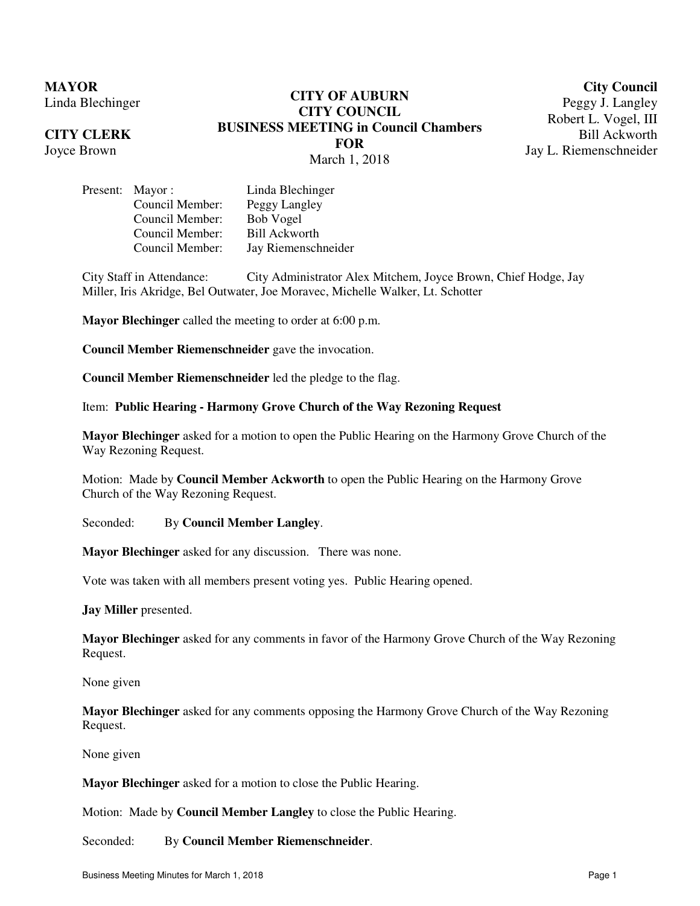**MAYOR** Linda Blechinger

## **CITY CLERK**

Joyce Brown

# **CITY OF AUBURN CITY COUNCIL BUSINESS MEETING in Council Chambers FOR**  March 1, 2018

**City Council** Peggy J. Langley Robert L. Vogel, III Bill Ackworth

Jay L. Riemenschneider

Present: Mayor : Linda Blechinger Council Member: Peggy Langley Council Member: Bob Vogel Council Member: Bill Ackworth Council Member: Jay Riemenschneider

City Staff in Attendance: City Administrator Alex Mitchem, Joyce Brown, Chief Hodge, Jay Miller, Iris Akridge, Bel Outwater, Joe Moravec, Michelle Walker, Lt. Schotter

**Mayor Blechinger** called the meeting to order at 6:00 p.m.

**Council Member Riemenschneider** gave the invocation.

**Council Member Riemenschneider** led the pledge to the flag.

Item: **Public Hearing - Harmony Grove Church of the Way Rezoning Request**

**Mayor Blechinger** asked for a motion to open the Public Hearing on the Harmony Grove Church of the Way Rezoning Request.

Motion: Made by **Council Member Ackworth** to open the Public Hearing on the Harmony Grove Church of the Way Rezoning Request.

Seconded: By **Council Member Langley**.

**Mayor Blechinger** asked for any discussion. There was none.

Vote was taken with all members present voting yes. Public Hearing opened.

**Jay Miller** presented.

**Mayor Blechinger** asked for any comments in favor of the Harmony Grove Church of the Way Rezoning Request.

None given

**Mayor Blechinger** asked for any comments opposing the Harmony Grove Church of the Way Rezoning Request.

None given

**Mayor Blechinger** asked for a motion to close the Public Hearing.

Motion: Made by **Council Member Langley** to close the Public Hearing.

Seconded: By **Council Member Riemenschneider**.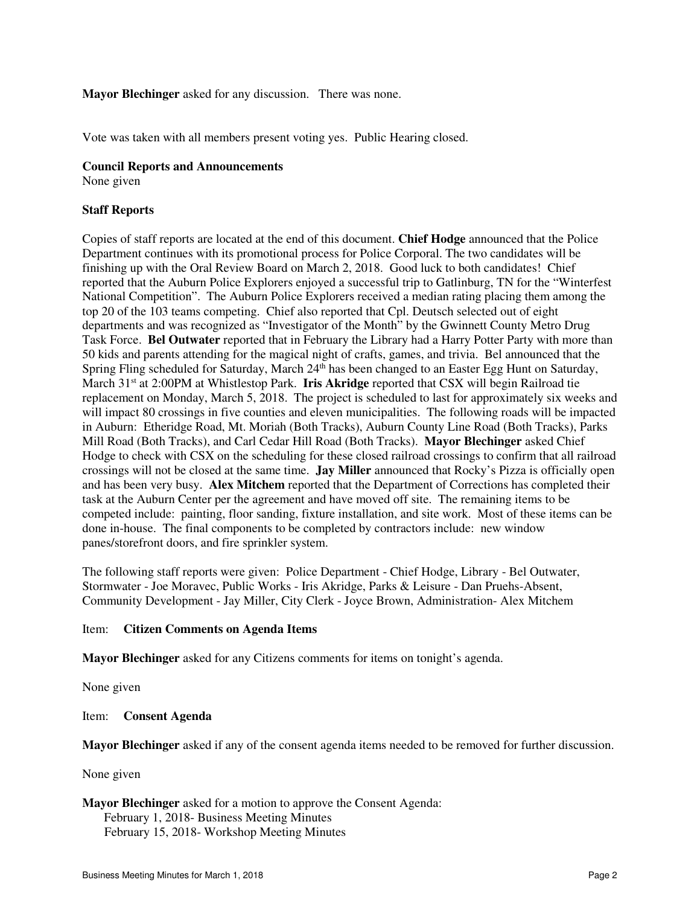## **Mayor Blechinger** asked for any discussion. There was none.

Vote was taken with all members present voting yes. Public Hearing closed.

#### **Council Reports and Announcements**

None given

#### **Staff Reports**

Copies of staff reports are located at the end of this document. **Chief Hodge** announced that the Police Department continues with its promotional process for Police Corporal. The two candidates will be finishing up with the Oral Review Board on March 2, 2018. Good luck to both candidates! Chief reported that the Auburn Police Explorers enjoyed a successful trip to Gatlinburg, TN for the "Winterfest National Competition". The Auburn Police Explorers received a median rating placing them among the top 20 of the 103 teams competing. Chief also reported that Cpl. Deutsch selected out of eight departments and was recognized as "Investigator of the Month" by the Gwinnett County Metro Drug Task Force. **Bel Outwater** reported that in February the Library had a Harry Potter Party with more than 50 kids and parents attending for the magical night of crafts, games, and trivia. Bel announced that the Spring Fling scheduled for Saturday, March 24<sup>th</sup> has been changed to an Easter Egg Hunt on Saturday, March 31st at 2:00PM at Whistlestop Park. **Iris Akridge** reported that CSX will begin Railroad tie replacement on Monday, March 5, 2018. The project is scheduled to last for approximately six weeks and will impact 80 crossings in five counties and eleven municipalities. The following roads will be impacted in Auburn: Etheridge Road, Mt. Moriah (Both Tracks), Auburn County Line Road (Both Tracks), Parks Mill Road (Both Tracks), and Carl Cedar Hill Road (Both Tracks). **Mayor Blechinger** asked Chief Hodge to check with CSX on the scheduling for these closed railroad crossings to confirm that all railroad crossings will not be closed at the same time. **Jay Miller** announced that Rocky's Pizza is officially open and has been very busy. **Alex Mitchem** reported that the Department of Corrections has completed their task at the Auburn Center per the agreement and have moved off site. The remaining items to be competed include: painting, floor sanding, fixture installation, and site work. Most of these items can be done in-house. The final components to be completed by contractors include: new window panes/storefront doors, and fire sprinkler system.

The following staff reports were given: Police Department - Chief Hodge, Library - Bel Outwater, Stormwater - Joe Moravec, Public Works - Iris Akridge, Parks & Leisure - Dan Pruehs-Absent, Community Development - Jay Miller, City Clerk - Joyce Brown, Administration- Alex Mitchem

## Item: **Citizen Comments on Agenda Items**

**Mayor Blechinger** asked for any Citizens comments for items on tonight's agenda.

None given

#### Item: **Consent Agenda**

**Mayor Blechinger** asked if any of the consent agenda items needed to be removed for further discussion.

#### None given

**Mayor Blechinger** asked for a motion to approve the Consent Agenda: February 1, 2018- Business Meeting Minutes February 15, 2018- Workshop Meeting Minutes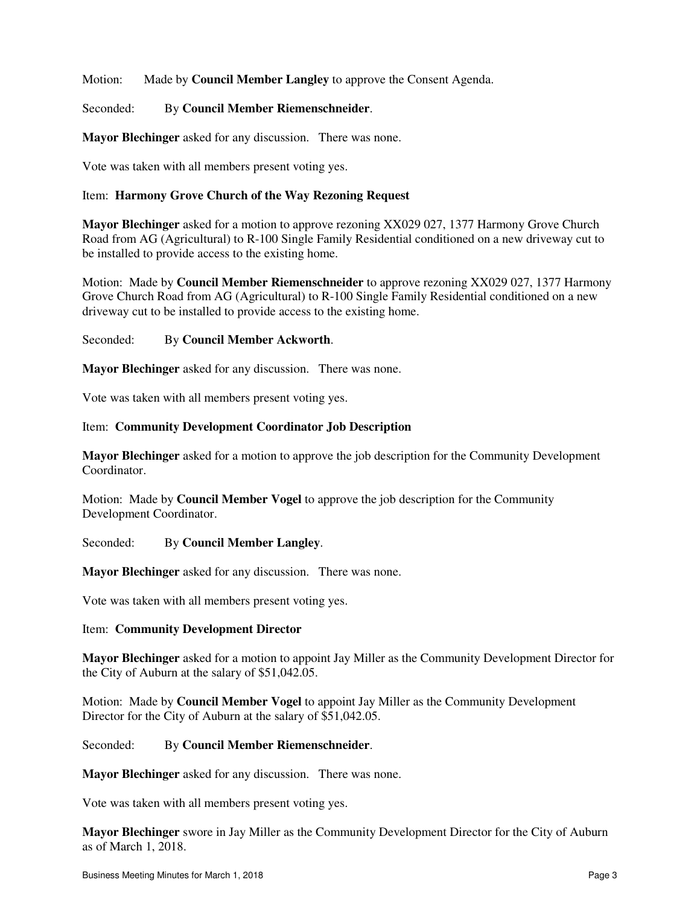Motion: Made by **Council Member Langley** to approve the Consent Agenda.

Seconded: By **Council Member Riemenschneider**.

**Mayor Blechinger** asked for any discussion. There was none.

Vote was taken with all members present voting yes.

## Item: **Harmony Grove Church of the Way Rezoning Request**

**Mayor Blechinger** asked for a motion to approve rezoning XX029 027, 1377 Harmony Grove Church Road from AG (Agricultural) to R-100 Single Family Residential conditioned on a new driveway cut to be installed to provide access to the existing home.

Motion: Made by **Council Member Riemenschneider** to approve rezoning XX029 027, 1377 Harmony Grove Church Road from AG (Agricultural) to R-100 Single Family Residential conditioned on a new driveway cut to be installed to provide access to the existing home.

## Seconded: By **Council Member Ackworth**.

**Mayor Blechinger** asked for any discussion. There was none.

Vote was taken with all members present voting yes.

## Item: **Community Development Coordinator Job Description**

**Mayor Blechinger** asked for a motion to approve the job description for the Community Development Coordinator.

Motion: Made by **Council Member Vogel** to approve the job description for the Community Development Coordinator.

Seconded: By **Council Member Langley**.

**Mayor Blechinger** asked for any discussion. There was none.

Vote was taken with all members present voting yes.

## Item: **Community Development Director**

**Mayor Blechinger** asked for a motion to appoint Jay Miller as the Community Development Director for the City of Auburn at the salary of \$51,042.05.

Motion: Made by **Council Member Vogel** to appoint Jay Miller as the Community Development Director for the City of Auburn at the salary of \$51,042.05.

#### Seconded: By **Council Member Riemenschneider**.

**Mayor Blechinger** asked for any discussion. There was none.

Vote was taken with all members present voting yes.

**Mayor Blechinger** swore in Jay Miller as the Community Development Director for the City of Auburn as of March 1, 2018.